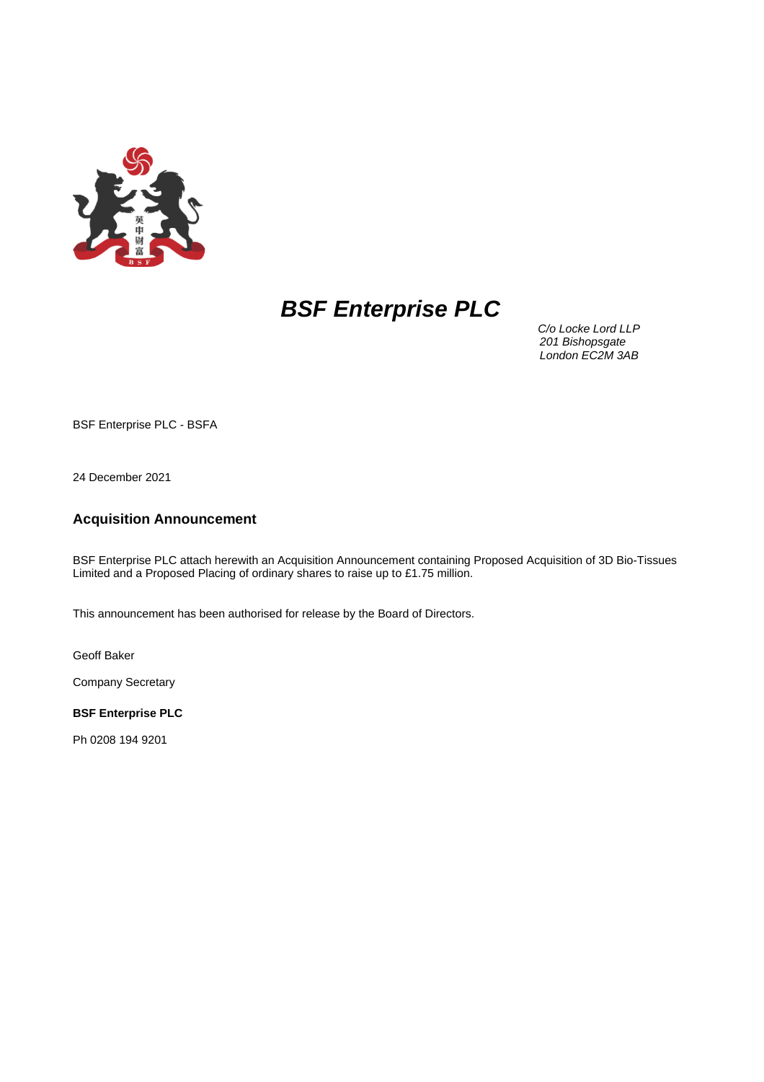

# *BSF Enterprise PLC*

 *C/o Locke Lord LLP 201 Bishopsgate London EC2M 3AB*

BSF Enterprise PLC - BSFA

24 December 2021

## **Acquisition Announcement**

BSF Enterprise PLC attach herewith an Acquisition Announcement containing Proposed Acquisition of 3D Bio-Tissues Limited and a Proposed Placing of ordinary shares to raise up to £1.75 million.

This announcement has been authorised for release by the Board of Directors.

Geoff Baker

Company Secretary

**BSF Enterprise PLC**

Ph 0208 194 9201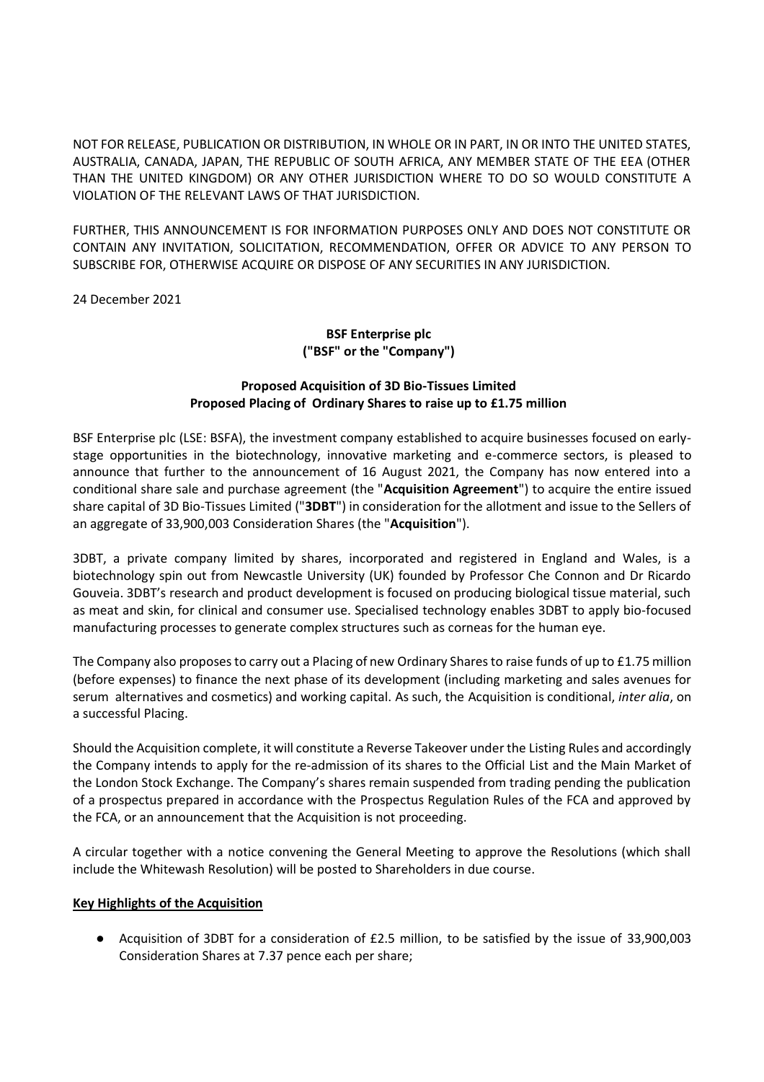NOT FOR RELEASE, PUBLICATION OR DISTRIBUTION, IN WHOLE OR IN PART, IN OR INTO THE UNITED STATES, AUSTRALIA, CANADA, JAPAN, THE REPUBLIC OF SOUTH AFRICA, ANY MEMBER STATE OF THE EEA (OTHER THAN THE UNITED KINGDOM) OR ANY OTHER JURISDICTION WHERE TO DO SO WOULD CONSTITUTE A VIOLATION OF THE RELEVANT LAWS OF THAT JURISDICTION.

FURTHER, THIS ANNOUNCEMENT IS FOR INFORMATION PURPOSES ONLY AND DOES NOT CONSTITUTE OR CONTAIN ANY INVITATION, SOLICITATION, RECOMMENDATION, OFFER OR ADVICE TO ANY PERSON TO SUBSCRIBE FOR, OTHERWISE ACQUIRE OR DISPOSE OF ANY SECURITIES IN ANY JURISDICTION.

24 December 2021

# **BSF Enterprise plc ("BSF" or the "Company")**

# **Proposed Acquisition of 3D Bio-Tissues Limited Proposed Placing of Ordinary Shares to raise up to £1.75 million**

BSF Enterprise plc (LSE: BSFA), the investment company established to acquire businesses focused on earlystage opportunities in the biotechnology, innovative marketing and e-commerce sectors, is pleased to announce that further to the announcement of 16 August 2021, the Company has now entered into a conditional share sale and purchase agreement (the "**Acquisition Agreement**") to acquire the entire issued share capital of 3D Bio-Tissues Limited ("**3DBT**") in consideration for the allotment and issue to the Sellers of an aggregate of 33,900,003 Consideration Shares (the "**Acquisition**").

3DBT, a private company limited by shares, incorporated and registered in England and Wales, is a biotechnology spin out from Newcastle University (UK) founded by Professor Che Connon and Dr Ricardo Gouveia. 3DBT's research and product development is focused on producing biological tissue material, such as meat and skin, for clinical and consumer use. Specialised technology enables 3DBT to apply bio-focused manufacturing processes to generate complex structures such as corneas for the human eye.

The Company also proposes to carry out a Placing of new Ordinary Shares to raise funds of up to £1.75 million (before expenses) to finance the next phase of its development (including marketing and sales avenues for serum alternatives and cosmetics) and working capital. As such, the Acquisition is conditional, *inter alia*, on a successful Placing.

Should the Acquisition complete, it will constitute a Reverse Takeover under the Listing Rules and accordingly the Company intends to apply for the re-admission of its shares to the Official List and the Main Market of the London Stock Exchange. The Company's shares remain suspended from trading pending the publication of a prospectus prepared in accordance with the Prospectus Regulation Rules of the FCA and approved by the FCA, or an announcement that the Acquisition is not proceeding.

A circular together with a notice convening the General Meeting to approve the Resolutions (which shall include the Whitewash Resolution) will be posted to Shareholders in due course.

# **Key Highlights of the Acquisition**

● Acquisition of 3DBT for a consideration of £2.5 million, to be satisfied by the issue of 33,900,003 Consideration Shares at 7.37 pence each per share;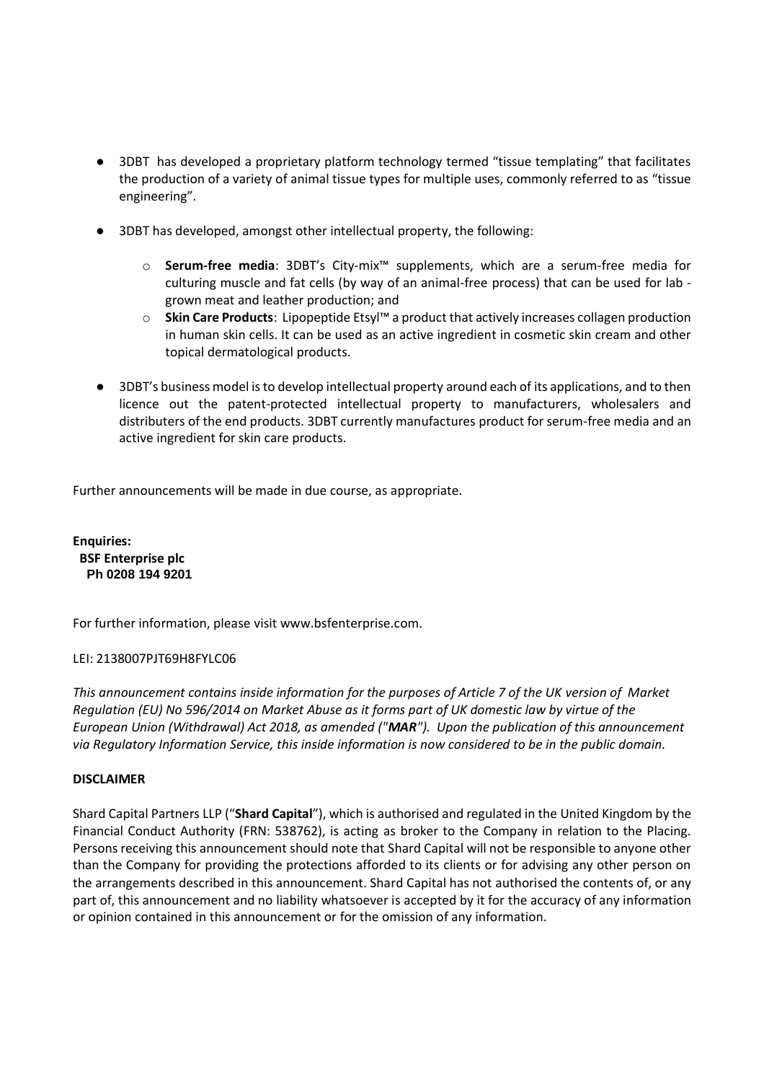- 3DBT has developed a proprietary platform technology termed "tissue templating" that facilitates the production of a variety of animal tissue types for multiple uses, commonly referred to as "tissue engineering".
- 3DBT has developed, amongst other intellectual property, the following:
	- o **Serum-free media**: 3DBT's City-mix™ supplements, which are a serum-free media for culturing muscle and fat cells (by way of an animal-free process) that can be used for lab grown meat and leather production; and
	- o **Skin Care Products**: Lipopeptide Etsyl™ a product that actively increases collagen production in human skin cells. It can be used as an active ingredient in cosmetic skin cream and other topical dermatological products.
- 3DBT's business model is to develop intellectual property around each of its applications, and to then licence out the patent-protected intellectual property to manufacturers, wholesalers and distributers of the end products. 3DBT currently manufactures product for serum-free media and an active ingredient for skin care products.

Further announcements will be made in due course, as appropriate.

**Enquiries: BSF Enterprise plc Ph 0208 194 9201**

For further information, please visit www.bsfenterprise.com.

## LEI: 2138007PJT69H8FYLC06

*This announcement contains inside information for the purposes of Article 7 of the UK version of Market Regulation (EU) No 596/2014 on Market Abuse as it forms part of UK domestic law by virtue of the European Union (Withdrawal) Act 2018, as amended ("MAR"). Upon the publication of this announcement via Regulatory Information Service, this inside information is now considered to be in the public domain.*

## **DISCLAIMER**

Shard Capital Partners LLP ("**Shard Capital**"), which is authorised and regulated in the United Kingdom by the Financial Conduct Authority (FRN: 538762), is acting as broker to the Company in relation to the Placing. Persons receiving this announcement should note that Shard Capital will not be responsible to anyone other than the Company for providing the protections afforded to its clients or for advising any other person on the arrangements described in this announcement. Shard Capital has not authorised the contents of, or any part of, this announcement and no liability whatsoever is accepted by it for the accuracy of any information or opinion contained in this announcement or for the omission of any information.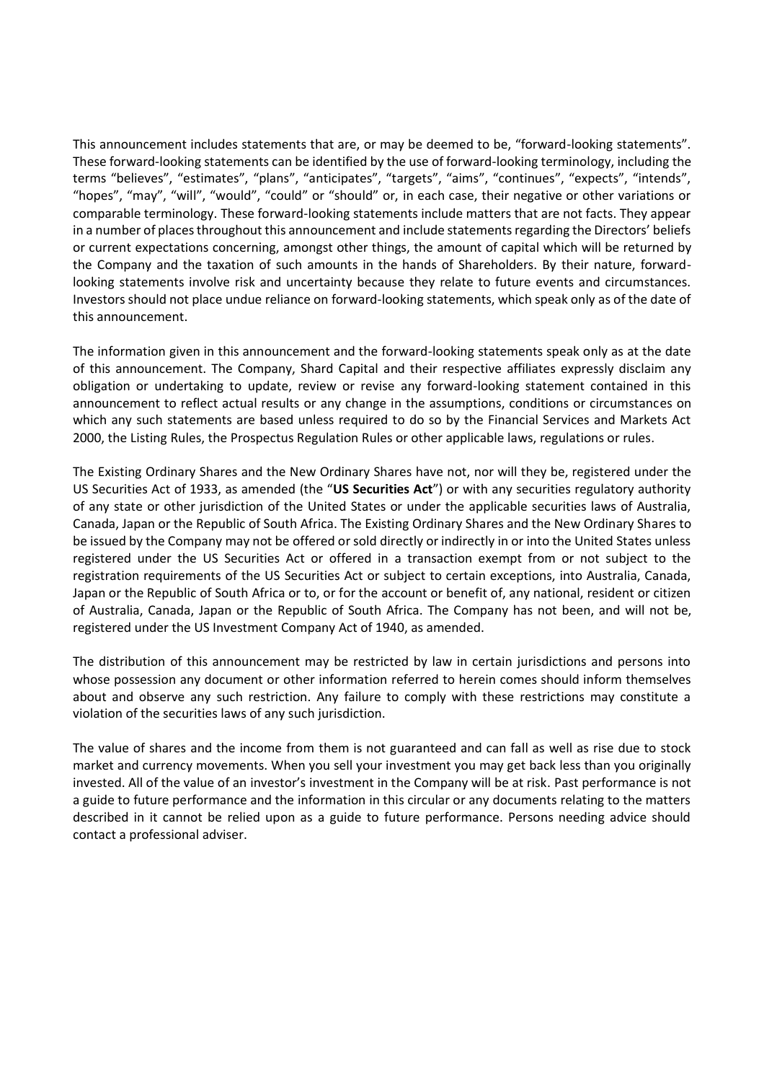This announcement includes statements that are, or may be deemed to be, "forward-looking statements". These forward-looking statements can be identified by the use of forward-looking terminology, including the terms "believes", "estimates", "plans", "anticipates", "targets", "aims", "continues", "expects", "intends", "hopes", "may", "will", "would", "could" or "should" or, in each case, their negative or other variations or comparable terminology. These forward-looking statements include matters that are not facts. They appear in a number of places throughout this announcement and include statements regarding the Directors' beliefs or current expectations concerning, amongst other things, the amount of capital which will be returned by the Company and the taxation of such amounts in the hands of Shareholders. By their nature, forwardlooking statements involve risk and uncertainty because they relate to future events and circumstances. Investors should not place undue reliance on forward-looking statements, which speak only as of the date of this announcement.

The information given in this announcement and the forward-looking statements speak only as at the date of this announcement. The Company, Shard Capital and their respective affiliates expressly disclaim any obligation or undertaking to update, review or revise any forward-looking statement contained in this announcement to reflect actual results or any change in the assumptions, conditions or circumstances on which any such statements are based unless required to do so by the Financial Services and Markets Act 2000, the Listing Rules, the Prospectus Regulation Rules or other applicable laws, regulations or rules.

The Existing Ordinary Shares and the New Ordinary Shares have not, nor will they be, registered under the US Securities Act of 1933, as amended (the "**US Securities Act**") or with any securities regulatory authority of any state or other jurisdiction of the United States or under the applicable securities laws of Australia, Canada, Japan or the Republic of South Africa. The Existing Ordinary Shares and the New Ordinary Shares to be issued by the Company may not be offered or sold directly or indirectly in or into the United States unless registered under the US Securities Act or offered in a transaction exempt from or not subject to the registration requirements of the US Securities Act or subject to certain exceptions, into Australia, Canada, Japan or the Republic of South Africa or to, or for the account or benefit of, any national, resident or citizen of Australia, Canada, Japan or the Republic of South Africa. The Company has not been, and will not be, registered under the US Investment Company Act of 1940, as amended.

The distribution of this announcement may be restricted by law in certain jurisdictions and persons into whose possession any document or other information referred to herein comes should inform themselves about and observe any such restriction. Any failure to comply with these restrictions may constitute a violation of the securities laws of any such jurisdiction.

The value of shares and the income from them is not guaranteed and can fall as well as rise due to stock market and currency movements. When you sell your investment you may get back less than you originally invested. All of the value of an investor's investment in the Company will be at risk. Past performance is not a guide to future performance and the information in this circular or any documents relating to the matters described in it cannot be relied upon as a guide to future performance. Persons needing advice should contact a professional adviser.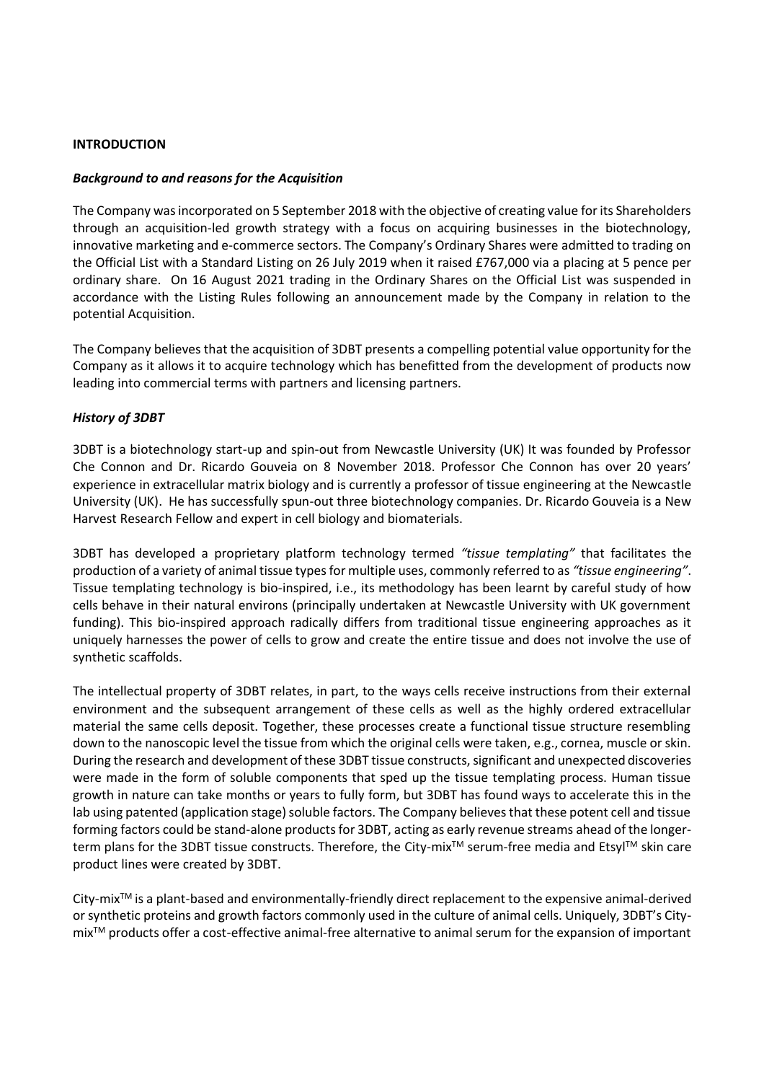#### **INTRODUCTION**

#### *Background to and reasons for the Acquisition*

The Company was incorporated on 5 September 2018 with the objective of creating value for its Shareholders through an acquisition-led growth strategy with a focus on acquiring businesses in the biotechnology, innovative marketing and e-commerce sectors. The Company's Ordinary Shares were admitted to trading on the Official List with a Standard Listing on 26 July 2019 when it raised £767,000 via a placing at 5 pence per ordinary share. On 16 August 2021 trading in the Ordinary Shares on the Official List was suspended in accordance with the Listing Rules following an announcement made by the Company in relation to the potential Acquisition.

The Company believes that the acquisition of 3DBT presents a compelling potential value opportunity for the Company as it allows it to acquire technology which has benefitted from the development of products now leading into commercial terms with partners and licensing partners.

## *History of 3DBT*

3DBT is a biotechnology start-up and spin-out from Newcastle University (UK) It was founded by Professor Che Connon and Dr. Ricardo Gouveia on 8 November 2018. Professor Che Connon has over 20 years' experience in extracellular matrix biology and is currently a professor of tissue engineering at the Newcastle University (UK). He has successfully spun-out three biotechnology companies. Dr. Ricardo Gouveia is a New Harvest Research Fellow and expert in cell biology and biomaterials.

3DBT has developed a proprietary platform technology termed *"tissue templating"* that facilitates the production of a variety of animal tissue types for multiple uses, commonly referred to as *"tissue engineering"*. Tissue templating technology is bio-inspired, i.e., its methodology has been learnt by careful study of how cells behave in their natural environs (principally undertaken at Newcastle University with UK government funding). This bio-inspired approach radically differs from traditional tissue engineering approaches as it uniquely harnesses the power of cells to grow and create the entire tissue and does not involve the use of synthetic scaffolds.

The intellectual property of 3DBT relates, in part, to the ways cells receive instructions from their external environment and the subsequent arrangement of these cells as well as the highly ordered extracellular material the same cells deposit. Together, these processes create a functional tissue structure resembling down to the nanoscopic level the tissue from which the original cells were taken, e.g., cornea, muscle or skin. During the research and development of these 3DBT tissue constructs, significant and unexpected discoveries were made in the form of soluble components that sped up the tissue templating process. Human tissue growth in nature can take months or years to fully form, but 3DBT has found ways to accelerate this in the lab using patented (application stage) soluble factors. The Company believes that these potent cell and tissue forming factors could be stand-alone products for 3DBT, acting as early revenue streams ahead of the longerterm plans for the 3DBT tissue constructs. Therefore, the City-mix<sup>™</sup> serum-free media and Etsyl™ skin care product lines were created by 3DBT.

City-mixTM is a plant-based and environmentally-friendly direct replacement to the expensive animal-derived or synthetic proteins and growth factors commonly used in the culture of animal cells. Uniquely, 3DBT's CitymixTM products offer a cost-effective animal-free alternative to animal serum for the expansion of important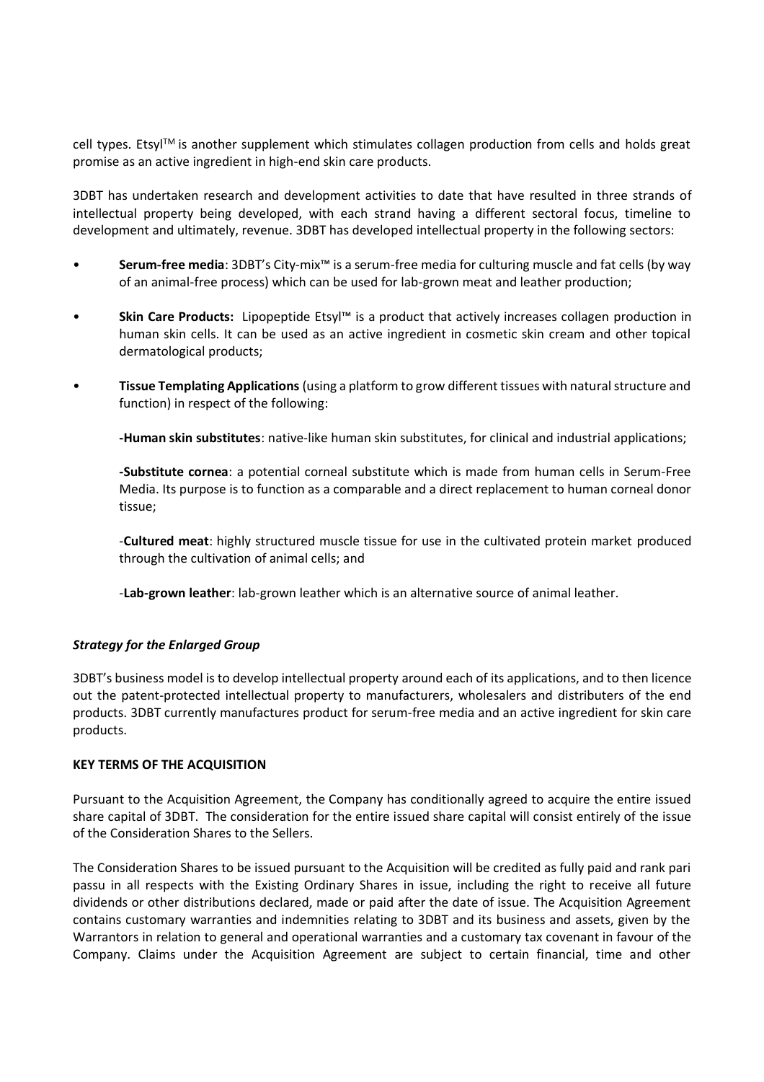cell types. EtsylTM is another supplement which stimulates collagen production from cells and holds great promise as an active ingredient in high-end skin care products.

3DBT has undertaken research and development activities to date that have resulted in three strands of intellectual property being developed, with each strand having a different sectoral focus, timeline to development and ultimately, revenue. 3DBT has developed intellectual property in the following sectors:

- **Serum-free media**: 3DBT's City-mix™ is a serum-free media for culturing muscle and fat cells (by way of an animal-free process) which can be used for lab-grown meat and leather production;
- **Skin Care Products:** Lipopeptide Etsyl™ is a product that actively increases collagen production in human skin cells. It can be used as an active ingredient in cosmetic skin cream and other topical dermatological products;
- **Tissue Templating Applications** (using a platform to grow different tissues with natural structure and function) in respect of the following:

**-Human skin substitutes**: native-like human skin substitutes, for clinical and industrial applications;

**-Substitute cornea**: a potential corneal substitute which is made from human cells in Serum-Free Media. Its purpose is to function as a comparable and a direct replacement to human corneal donor tissue;

-**Cultured meat**: highly structured muscle tissue for use in the cultivated protein market produced through the cultivation of animal cells; and

-**Lab-grown leather**: lab-grown leather which is an alternative source of animal leather.

## *Strategy for the Enlarged Group*

3DBT's business model is to develop intellectual property around each of its applications, and to then licence out the patent-protected intellectual property to manufacturers, wholesalers and distributers of the end products. 3DBT currently manufactures product for serum-free media and an active ingredient for skin care products.

## **KEY TERMS OF THE ACQUISITION**

Pursuant to the Acquisition Agreement, the Company has conditionally agreed to acquire the entire issued share capital of 3DBT. The consideration for the entire issued share capital will consist entirely of the issue of the Consideration Shares to the Sellers.

The Consideration Shares to be issued pursuant to the Acquisition will be credited as fully paid and rank pari passu in all respects with the Existing Ordinary Shares in issue, including the right to receive all future dividends or other distributions declared, made or paid after the date of issue. The Acquisition Agreement contains customary warranties and indemnities relating to 3DBT and its business and assets, given by the Warrantors in relation to general and operational warranties and a customary tax covenant in favour of the Company. Claims under the Acquisition Agreement are subject to certain financial, time and other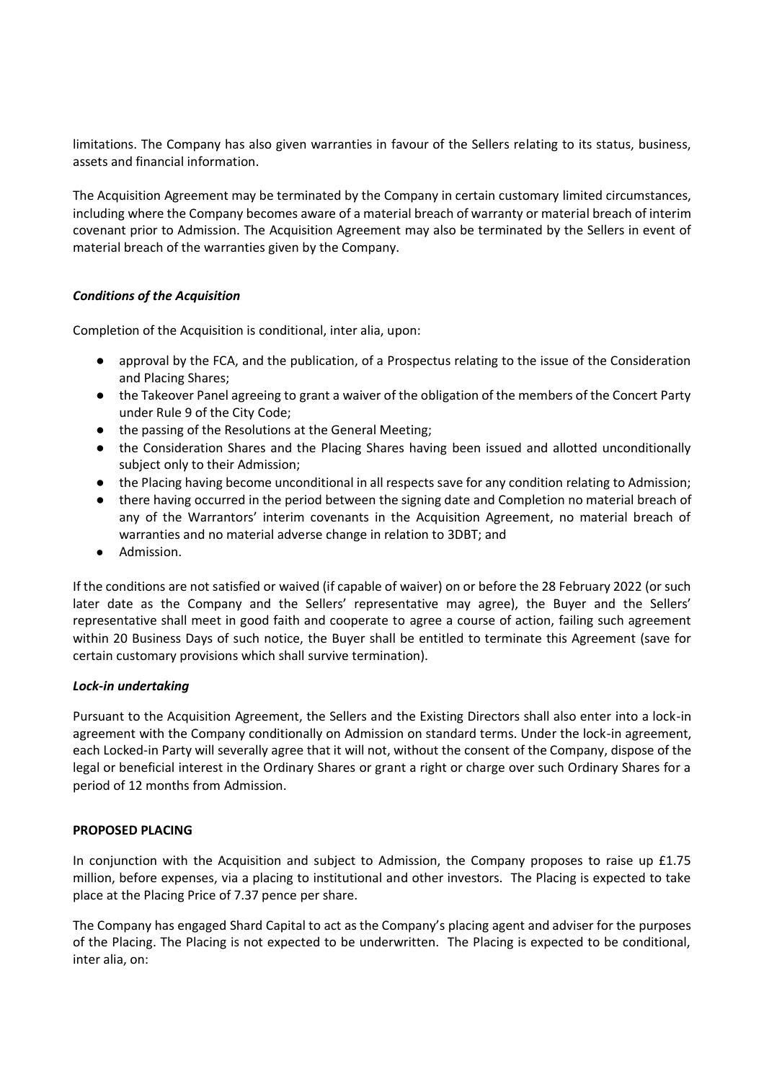limitations. The Company has also given warranties in favour of the Sellers relating to its status, business, assets and financial information.

The Acquisition Agreement may be terminated by the Company in certain customary limited circumstances, including where the Company becomes aware of a material breach of warranty or material breach of interim covenant prior to Admission. The Acquisition Agreement may also be terminated by the Sellers in event of material breach of the warranties given by the Company.

## *Conditions of the Acquisition*

Completion of the Acquisition is conditional, inter alia, upon:

- approval by the FCA, and the publication, of a Prospectus relating to the issue of the Consideration and Placing Shares;
- the Takeover Panel agreeing to grant a waiver of the obligation of the members of the Concert Party under Rule 9 of the City Code;
- the passing of the Resolutions at the General Meeting;
- the Consideration Shares and the Placing Shares having been issued and allotted unconditionally subject only to their Admission;
- the Placing having become unconditional in all respects save for any condition relating to Admission;
- there having occurred in the period between the signing date and Completion no material breach of any of the Warrantors' interim covenants in the Acquisition Agreement, no material breach of warranties and no material adverse change in relation to 3DBT; and
- Admission.

If the conditions are not satisfied or waived (if capable of waiver) on or before the 28 February 2022 (or such later date as the Company and the Sellers' representative may agree), the Buyer and the Sellers' representative shall meet in good faith and cooperate to agree a course of action, failing such agreement within 20 Business Days of such notice, the Buyer shall be entitled to terminate this Agreement (save for certain customary provisions which shall survive termination).

## *Lock-in undertaking*

Pursuant to the Acquisition Agreement, the Sellers and the Existing Directors shall also enter into a lock-in agreement with the Company conditionally on Admission on standard terms. Under the lock-in agreement, each Locked-in Party will severally agree that it will not, without the consent of the Company, dispose of the legal or beneficial interest in the Ordinary Shares or grant a right or charge over such Ordinary Shares for a period of 12 months from Admission.

## **PROPOSED PLACING**

In conjunction with the Acquisition and subject to Admission, the Company proposes to raise up £1.75 million, before expenses, via a placing to institutional and other investors. The Placing is expected to take place at the Placing Price of 7.37 pence per share.

The Company has engaged Shard Capital to act as the Company's placing agent and adviser for the purposes of the Placing. The Placing is not expected to be underwritten. The Placing is expected to be conditional, inter alia, on: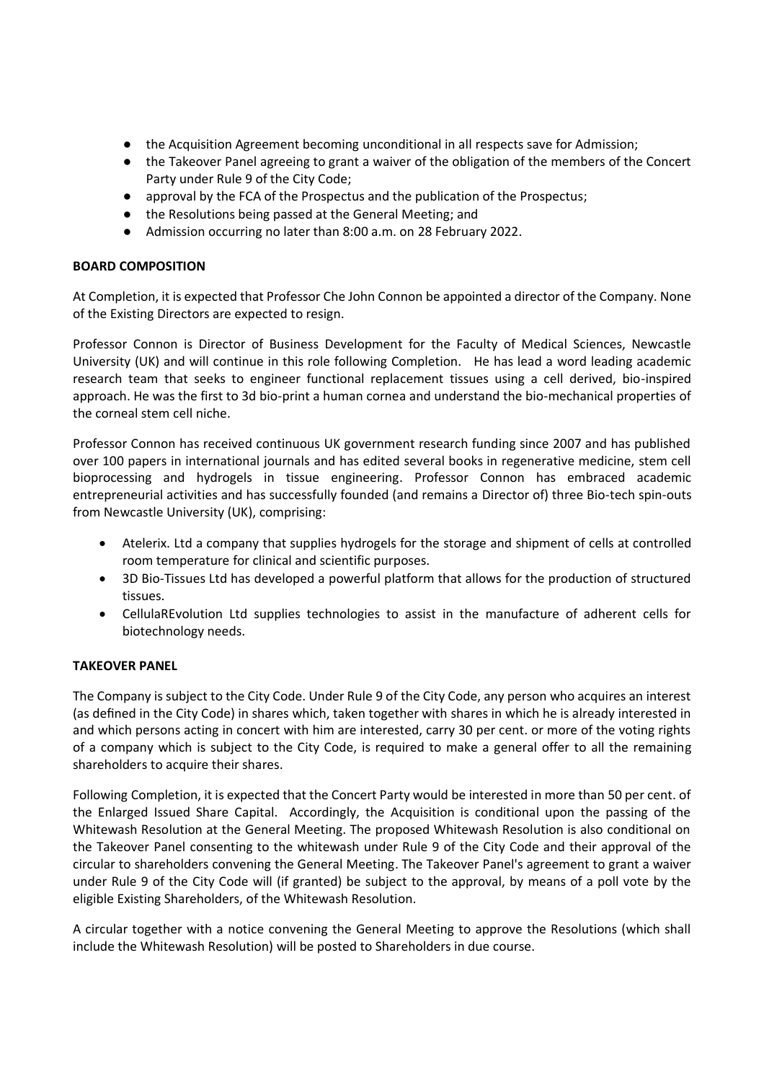- the Acquisition Agreement becoming unconditional in all respects save for Admission;
- the Takeover Panel agreeing to grant a waiver of the obligation of the members of the Concert Party under Rule 9 of the City Code;
- approval by the FCA of the Prospectus and the publication of the Prospectus;
- the Resolutions being passed at the General Meeting; and
- Admission occurring no later than 8:00 a.m. on 28 February 2022.

#### **BOARD COMPOSITION**

At Completion, it is expected that Professor Che John Connon be appointed a director of the Company. None of the Existing Directors are expected to resign.

Professor Connon is Director of Business Development for the Faculty of Medical Sciences, Newcastle University (UK) and will continue in this role following Completion. He has lead a word leading academic research team that seeks to engineer functional replacement tissues using a cell derived, bio-inspired approach. He was the first to 3d bio-print a human cornea and understand the bio-mechanical properties of the corneal stem cell niche.

Professor Connon has received continuous UK government research funding since 2007 and has published over 100 papers in international journals and has edited several books in regenerative medicine, stem cell bioprocessing and hydrogels in tissue engineering. Professor Connon has embraced academic entrepreneurial activities and has successfully founded (and remains a Director of) three Bio-tech spin-outs from Newcastle University (UK), comprising:

- Atelerix. Ltd a company that supplies hydrogels for the storage and shipment of cells at controlled room temperature for clinical and scientific purposes.
- 3D Bio-Tissues Ltd has developed a powerful platform that allows for the production of structured tissues.
- CellulaREvolution Ltd supplies technologies to assist in the manufacture of adherent cells for biotechnology needs.

## **TAKEOVER PANEL**

The Company is subject to the City Code. Under Rule 9 of the City Code, any person who acquires an interest (as defined in the City Code) in shares which, taken together with shares in which he is already interested in and which persons acting in concert with him are interested, carry 30 per cent. or more of the voting rights of a company which is subject to the City Code, is required to make a general offer to all the remaining shareholders to acquire their shares.

Following Completion, it is expected that the Concert Party would be interested in more than 50 per cent. of the Enlarged Issued Share Capital. Accordingly, the Acquisition is conditional upon the passing of the Whitewash Resolution at the General Meeting. The proposed Whitewash Resolution is also conditional on the Takeover Panel consenting to the whitewash under Rule 9 of the City Code and their approval of the circular to shareholders convening the General Meeting. The Takeover Panel's agreement to grant a waiver under Rule 9 of the City Code will (if granted) be subject to the approval, by means of a poll vote by the eligible Existing Shareholders, of the Whitewash Resolution.

A circular together with a notice convening the General Meeting to approve the Resolutions (which shall include the Whitewash Resolution) will be posted to Shareholders in due course.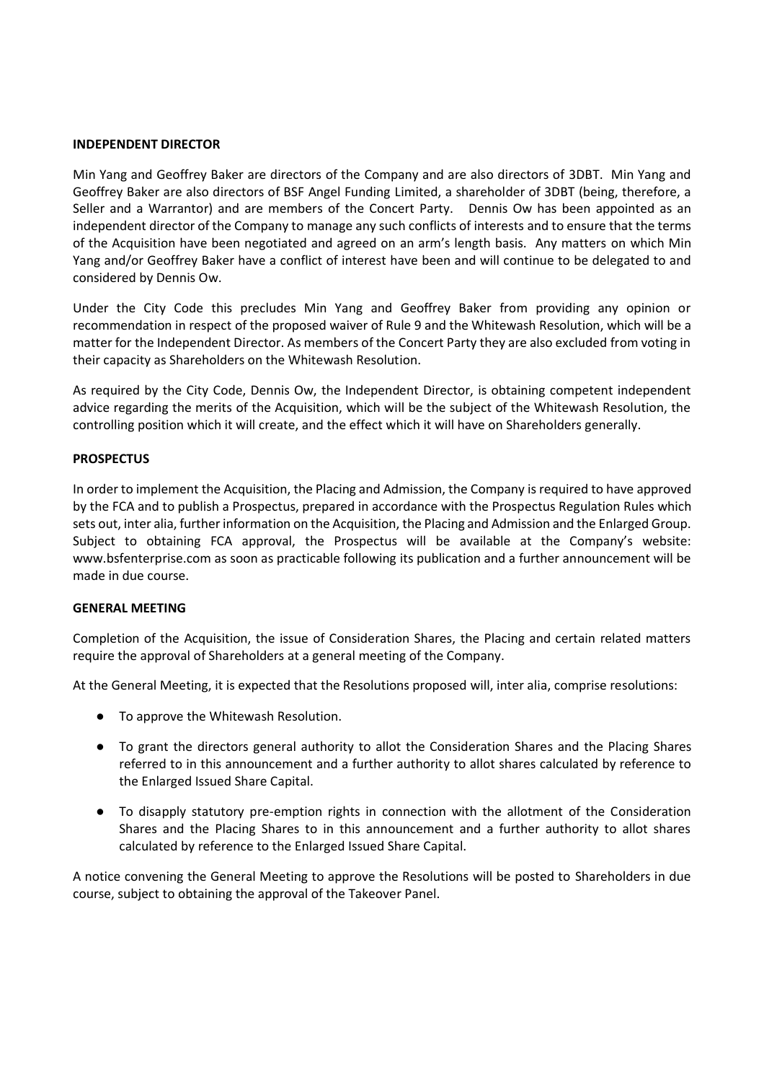#### **INDEPENDENT DIRECTOR**

Min Yang and Geoffrey Baker are directors of the Company and are also directors of 3DBT. Min Yang and Geoffrey Baker are also directors of BSF Angel Funding Limited, a shareholder of 3DBT (being, therefore, a Seller and a Warrantor) and are members of the Concert Party. Dennis Ow has been appointed as an independent director of the Company to manage any such conflicts of interests and to ensure that the terms of the Acquisition have been negotiated and agreed on an arm's length basis. Any matters on which Min Yang and/or Geoffrey Baker have a conflict of interest have been and will continue to be delegated to and considered by Dennis Ow.

Under the City Code this precludes Min Yang and Geoffrey Baker from providing any opinion or recommendation in respect of the proposed waiver of Rule 9 and the Whitewash Resolution, which will be a matter for the Independent Director. As members of the Concert Party they are also excluded from voting in their capacity as Shareholders on the Whitewash Resolution.

As required by the City Code, Dennis Ow, the Independent Director, is obtaining competent independent advice regarding the merits of the Acquisition, which will be the subject of the Whitewash Resolution, the controlling position which it will create, and the effect which it will have on Shareholders generally.

#### **PROSPECTUS**

In order to implement the Acquisition, the Placing and Admission, the Company is required to have approved by the FCA and to publish a Prospectus, prepared in accordance with the Prospectus Regulation Rules which sets out, inter alia, further information on the Acquisition, the Placing and Admission and the Enlarged Group. Subject to obtaining FCA approval, the Prospectus will be available at the Company's website: www.bsfenterprise.com as soon as practicable following its publication and a further announcement will be made in due course.

#### **GENERAL MEETING**

Completion of the Acquisition, the issue of Consideration Shares, the Placing and certain related matters require the approval of Shareholders at a general meeting of the Company.

At the General Meeting, it is expected that the Resolutions proposed will, inter alia, comprise resolutions:

- To approve the Whitewash Resolution.
- To grant the directors general authority to allot the Consideration Shares and the Placing Shares referred to in this announcement and a further authority to allot shares calculated by reference to the Enlarged Issued Share Capital.
- To disapply statutory pre-emption rights in connection with the allotment of the Consideration Shares and the Placing Shares to in this announcement and a further authority to allot shares calculated by reference to the Enlarged Issued Share Capital.

A notice convening the General Meeting to approve the Resolutions will be posted to Shareholders in due course, subject to obtaining the approval of the Takeover Panel.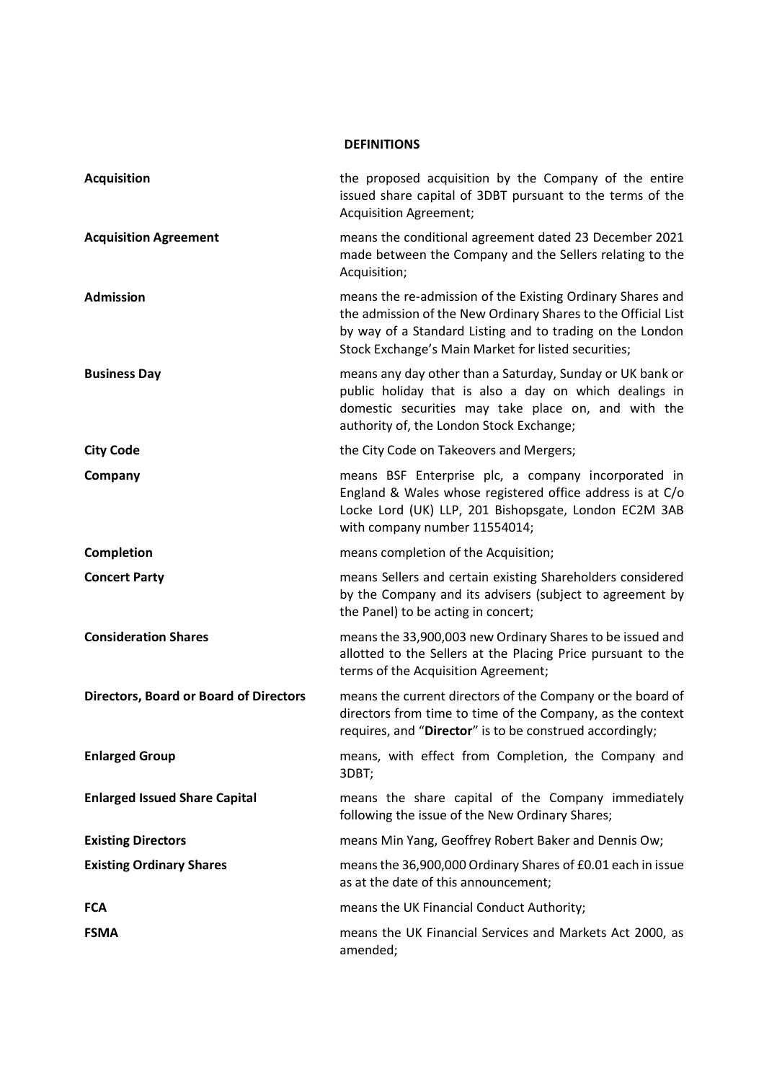# **DEFINITIONS**

| <b>Acquisition</b>                            | the proposed acquisition by the Company of the entire<br>issued share capital of 3DBT pursuant to the terms of the<br><b>Acquisition Agreement;</b>                                                                                             |
|-----------------------------------------------|-------------------------------------------------------------------------------------------------------------------------------------------------------------------------------------------------------------------------------------------------|
| <b>Acquisition Agreement</b>                  | means the conditional agreement dated 23 December 2021<br>made between the Company and the Sellers relating to the<br>Acquisition;                                                                                                              |
| <b>Admission</b>                              | means the re-admission of the Existing Ordinary Shares and<br>the admission of the New Ordinary Shares to the Official List<br>by way of a Standard Listing and to trading on the London<br>Stock Exchange's Main Market for listed securities; |
| <b>Business Day</b>                           | means any day other than a Saturday, Sunday or UK bank or<br>public holiday that is also a day on which dealings in<br>domestic securities may take place on, and with the<br>authority of, the London Stock Exchange;                          |
| <b>City Code</b>                              | the City Code on Takeovers and Mergers;                                                                                                                                                                                                         |
| Company                                       | means BSF Enterprise plc, a company incorporated in<br>England & Wales whose registered office address is at C/o<br>Locke Lord (UK) LLP, 201 Bishopsgate, London EC2M 3AB<br>with company number 11554014;                                      |
| <b>Completion</b>                             | means completion of the Acquisition;                                                                                                                                                                                                            |
| <b>Concert Party</b>                          | means Sellers and certain existing Shareholders considered<br>by the Company and its advisers (subject to agreement by<br>the Panel) to be acting in concert;                                                                                   |
| <b>Consideration Shares</b>                   | means the 33,900,003 new Ordinary Shares to be issued and<br>allotted to the Sellers at the Placing Price pursuant to the<br>terms of the Acquisition Agreement;                                                                                |
| <b>Directors, Board or Board of Directors</b> | means the current directors of the Company or the board of<br>directors from time to time of the Company, as the context<br>requires, and "Director" is to be construed accordingly;                                                            |
| <b>Enlarged Group</b>                         | means, with effect from Completion, the Company and<br>3DBT;                                                                                                                                                                                    |
| <b>Enlarged Issued Share Capital</b>          | means the share capital of the Company immediately<br>following the issue of the New Ordinary Shares;                                                                                                                                           |
| <b>Existing Directors</b>                     | means Min Yang, Geoffrey Robert Baker and Dennis Ow;                                                                                                                                                                                            |
| <b>Existing Ordinary Shares</b>               | means the 36,900,000 Ordinary Shares of £0.01 each in issue<br>as at the date of this announcement;                                                                                                                                             |
| <b>FCA</b>                                    | means the UK Financial Conduct Authority;                                                                                                                                                                                                       |
| <b>FSMA</b>                                   | means the UK Financial Services and Markets Act 2000, as<br>amended;                                                                                                                                                                            |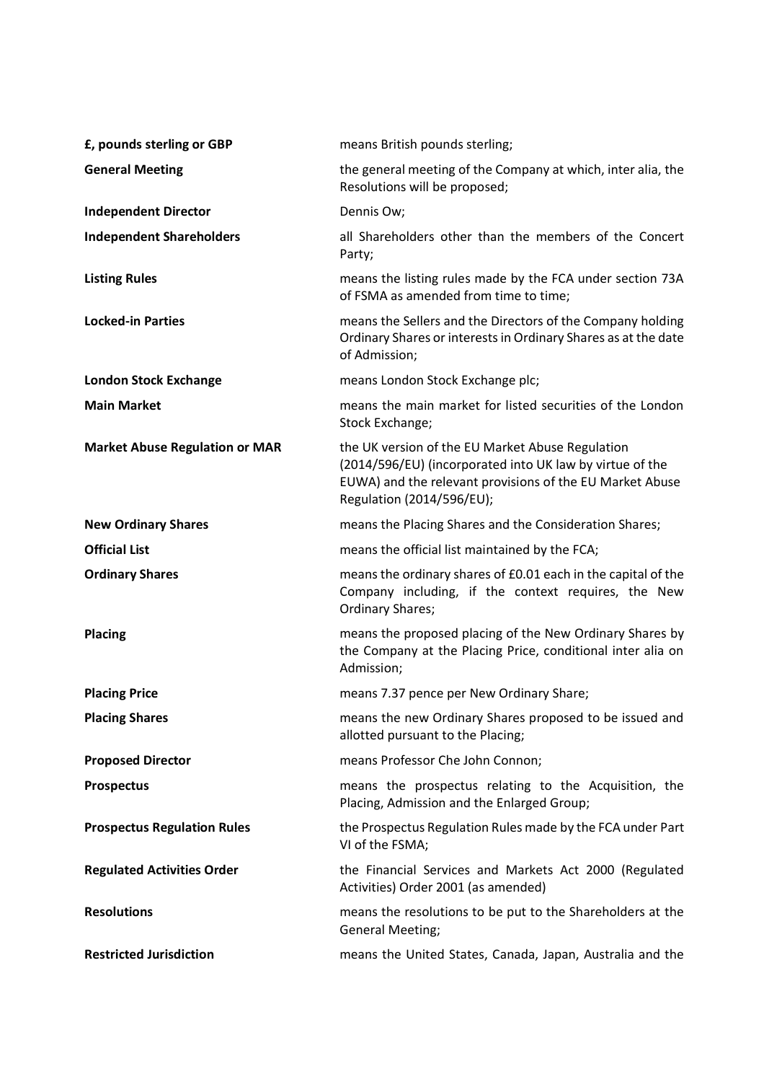| £, pounds sterling or GBP             | means British pounds sterling;                                                                                                                                                                        |
|---------------------------------------|-------------------------------------------------------------------------------------------------------------------------------------------------------------------------------------------------------|
| <b>General Meeting</b>                | the general meeting of the Company at which, inter alia, the<br>Resolutions will be proposed;                                                                                                         |
| <b>Independent Director</b>           | Dennis Ow;                                                                                                                                                                                            |
| <b>Independent Shareholders</b>       | all Shareholders other than the members of the Concert<br>Party;                                                                                                                                      |
| <b>Listing Rules</b>                  | means the listing rules made by the FCA under section 73A<br>of FSMA as amended from time to time;                                                                                                    |
| <b>Locked-in Parties</b>              | means the Sellers and the Directors of the Company holding<br>Ordinary Shares or interests in Ordinary Shares as at the date<br>of Admission;                                                         |
| <b>London Stock Exchange</b>          | means London Stock Exchange plc;                                                                                                                                                                      |
| <b>Main Market</b>                    | means the main market for listed securities of the London<br>Stock Exchange;                                                                                                                          |
| <b>Market Abuse Regulation or MAR</b> | the UK version of the EU Market Abuse Regulation<br>(2014/596/EU) (incorporated into UK law by virtue of the<br>EUWA) and the relevant provisions of the EU Market Abuse<br>Regulation (2014/596/EU); |
| <b>New Ordinary Shares</b>            | means the Placing Shares and the Consideration Shares;                                                                                                                                                |
| <b>Official List</b>                  | means the official list maintained by the FCA;                                                                                                                                                        |
| <b>Ordinary Shares</b>                | means the ordinary shares of £0.01 each in the capital of the<br>Company including, if the context requires, the New<br><b>Ordinary Shares;</b>                                                       |
| <b>Placing</b>                        | means the proposed placing of the New Ordinary Shares by<br>the Company at the Placing Price, conditional inter alia on<br>Admission;                                                                 |
| <b>Placing Price</b>                  | means 7.37 pence per New Ordinary Share;                                                                                                                                                              |
| <b>Placing Shares</b>                 | means the new Ordinary Shares proposed to be issued and<br>allotted pursuant to the Placing;                                                                                                          |
| <b>Proposed Director</b>              | means Professor Che John Connon;                                                                                                                                                                      |
| <b>Prospectus</b>                     | means the prospectus relating to the Acquisition, the<br>Placing, Admission and the Enlarged Group;                                                                                                   |
| <b>Prospectus Regulation Rules</b>    | the Prospectus Regulation Rules made by the FCA under Part<br>VI of the FSMA;                                                                                                                         |
| <b>Regulated Activities Order</b>     | the Financial Services and Markets Act 2000 (Regulated<br>Activities) Order 2001 (as amended)                                                                                                         |
| <b>Resolutions</b>                    | means the resolutions to be put to the Shareholders at the<br><b>General Meeting;</b>                                                                                                                 |
| <b>Restricted Jurisdiction</b>        | means the United States, Canada, Japan, Australia and the                                                                                                                                             |